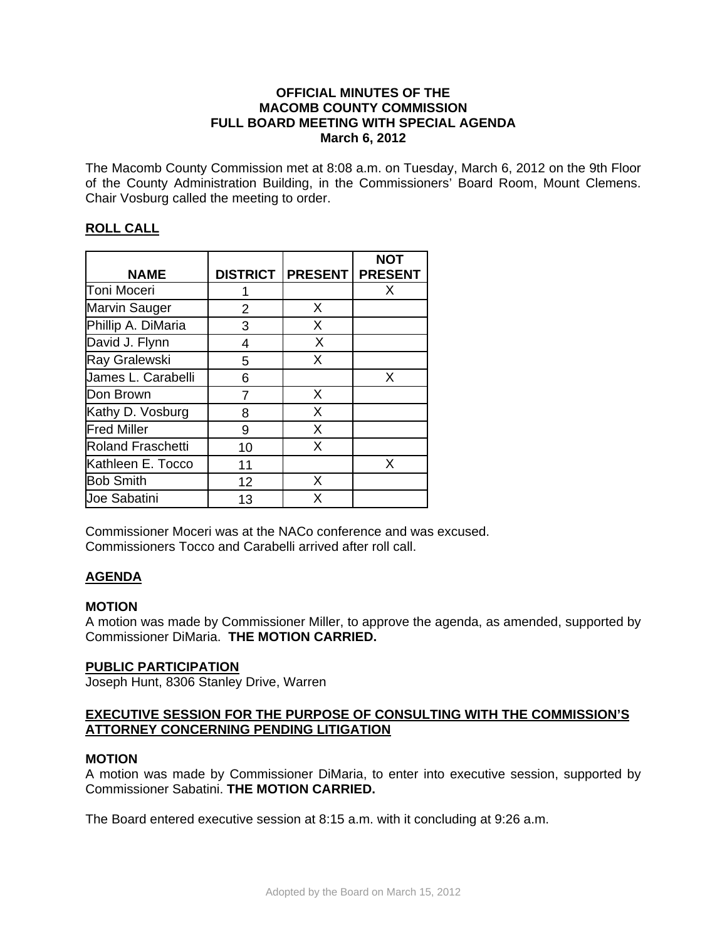## **OFFICIAL MINUTES OF THE MACOMB COUNTY COMMISSION FULL BOARD MEETING WITH SPECIAL AGENDA March 6, 2012**

The Macomb County Commission met at 8:08 a.m. on Tuesday, March 6, 2012 on the 9th Floor of the County Administration Building, in the Commissioners' Board Room, Mount Clemens. Chair Vosburg called the meeting to order.

# **ROLL CALL**

| <b>NAME</b>              |    | DISTRICT   PRESENT   PRESENT | <b>NOT</b> |
|--------------------------|----|------------------------------|------------|
| Toni Moceri              |    |                              | X          |
| <b>Marvin Sauger</b>     | 2  | X                            |            |
| Phillip A. DiMaria       | 3  | X                            |            |
| David J. Flynn           | 4  | X                            |            |
| Ray Gralewski            | 5  | X                            |            |
| James L. Carabelli       | 6  |                              | X          |
| Don Brown                | 7  | X                            |            |
| Kathy D. Vosburg         | 8  | X                            |            |
| <b>Fred Miller</b>       | 9  | X                            |            |
| <b>Roland Fraschetti</b> | 10 | X                            |            |
| Kathleen E. Tocco        | 11 |                              | X          |
| <b>Bob Smith</b>         | 12 | Х                            |            |
| <b>Joe Sabatini</b>      | 13 | Х                            |            |

Commissioner Moceri was at the NACo conference and was excused. Commissioners Tocco and Carabelli arrived after roll call.

# **AGENDA**

## **MOTION**

A motion was made by Commissioner Miller, to approve the agenda, as amended, supported by Commissioner DiMaria. **THE MOTION CARRIED.** 

## **PUBLIC PARTICIPATION**

Joseph Hunt, 8306 Stanley Drive, Warren

### **EXECUTIVE SESSION FOR THE PURPOSE OF CONSULTING WITH THE COMMISSION'S ATTORNEY CONCERNING PENDING LITIGATION**

### **MOTION**

A motion was made by Commissioner DiMaria, to enter into executive session, supported by Commissioner Sabatini. **THE MOTION CARRIED.**

The Board entered executive session at 8:15 a.m. with it concluding at 9:26 a.m.